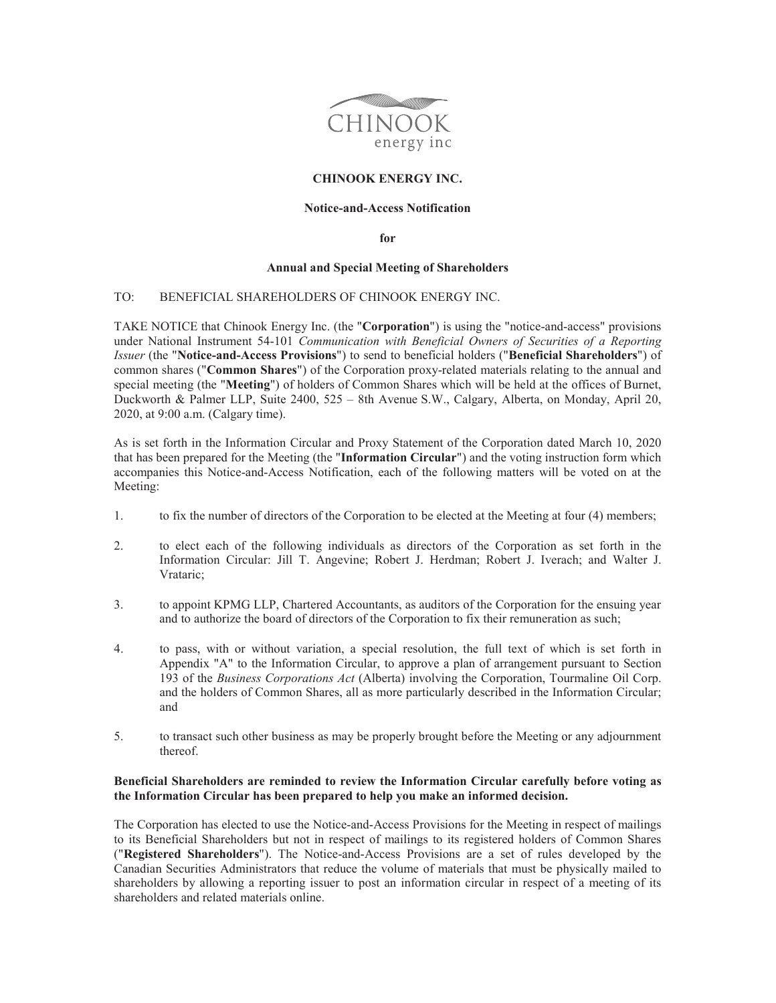

# **CHINOOK ENERGY INC.**

## **Notice-and-Access Notification**

**for** 

#### **Annual and Special Meeting of Shareholders**

#### TO: BENEFICIAL SHAREHOLDERS OF CHINOOK ENERGY INC.

TAKE NOTICE that Chinook Energy Inc. (the "**Corporation**") is using the "notice-and-access" provisions under National Instrument 54-101 *Communication with Beneficial Owners of Securities of a Reporting Issuer* (the "**Notice-and-Access Provisions**") to send to beneficial holders ("**Beneficial Shareholders**") of common shares ("**Common Shares**") of the Corporation proxy-related materials relating to the annual and special meeting (the "**Meeting**") of holders of Common Shares which will be held at the offices of Burnet, Duckworth & Palmer LLP, Suite 2400, 525 – 8th Avenue S.W., Calgary, Alberta, on Monday, April 20, 2020, at 9:00 a.m. (Calgary time).

As is set forth in the Information Circular and Proxy Statement of the Corporation dated March 10, 2020 that has been prepared for the Meeting (the "**Information Circular**") and the voting instruction form which accompanies this Notice-and-Access Notification, each of the following matters will be voted on at the Meeting:

- 1. to fix the number of directors of the Corporation to be elected at the Meeting at four (4) members;
- 2. to elect each of the following individuals as directors of the Corporation as set forth in the Information Circular: Jill T. Angevine; Robert J. Herdman; Robert J. Iverach; and Walter J. Vrataric;
- 3. to appoint KPMG LLP, Chartered Accountants, as auditors of the Corporation for the ensuing year and to authorize the board of directors of the Corporation to fix their remuneration as such;
- 4. to pass, with or without variation, a special resolution, the full text of which is set forth in Appendix "A" to the Information Circular, to approve a plan of arrangement pursuant to Section 193 of the *Business Corporations Act* (Alberta) involving the Corporation, Tourmaline Oil Corp. and the holders of Common Shares, all as more particularly described in the Information Circular; and
- 5. to transact such other business as may be properly brought before the Meeting or any adjournment thereof.

### **Beneficial Shareholders are reminded to review the Information Circular carefully before voting as the Information Circular has been prepared to help you make an informed decision.**

The Corporation has elected to use the Notice-and-Access Provisions for the Meeting in respect of mailings to its Beneficial Shareholders but not in respect of mailings to its registered holders of Common Shares ("**Registered Shareholders**"). The Notice-and-Access Provisions are a set of rules developed by the Canadian Securities Administrators that reduce the volume of materials that must be physically mailed to shareholders by allowing a reporting issuer to post an information circular in respect of a meeting of its shareholders and related materials online.